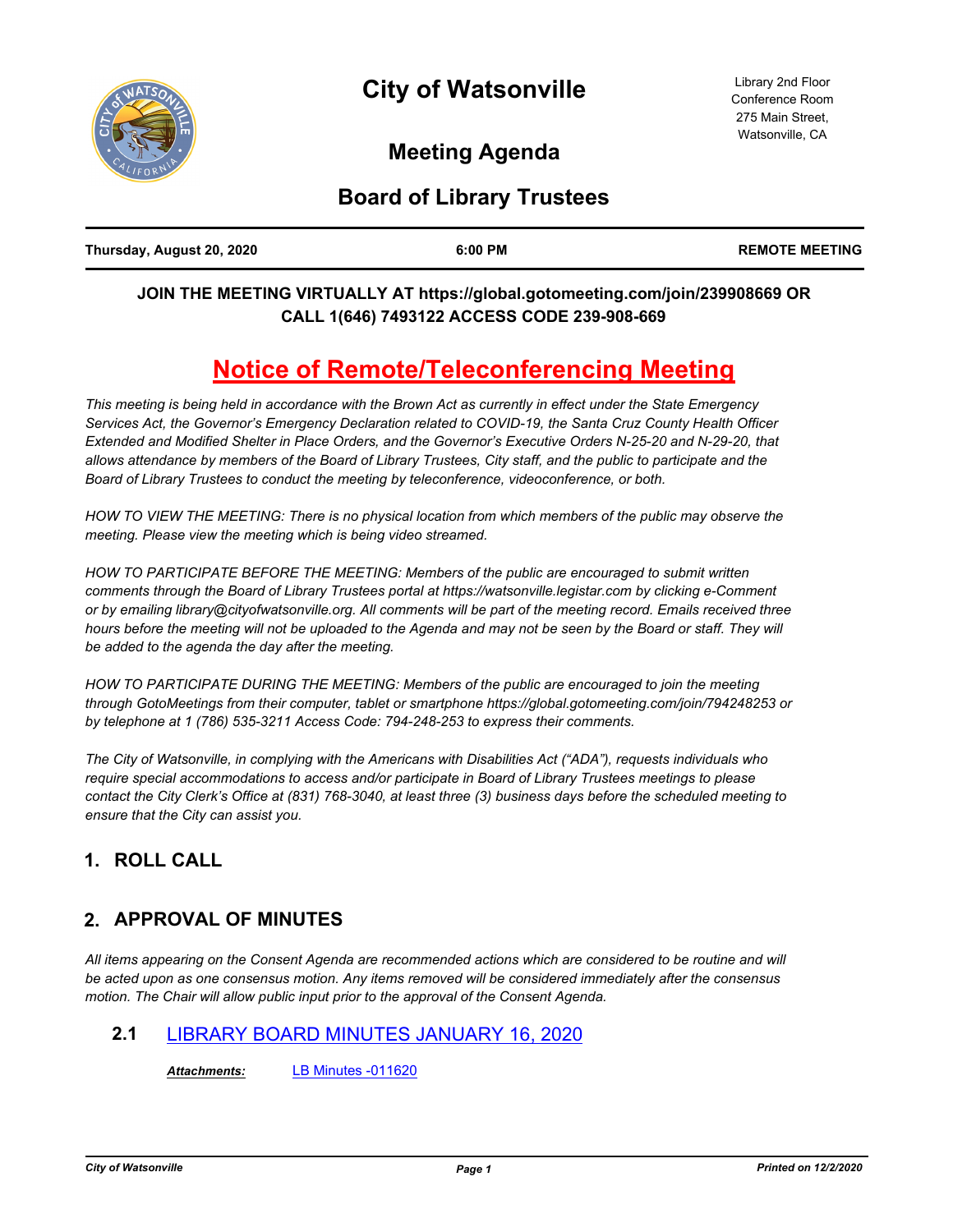

# **Meeting Agenda**

# **Board of Library Trustees**

| Thursday, August 20, 2020 | 6:00 PM | <b>REMOTE MEETING</b> |
|---------------------------|---------|-----------------------|
|                           |         |                       |

### **JOIN THE MEETING VIRTUALLY AT https://global.gotomeeting.com/join/239908669 OR CALL 1(646) 7493122 ACCESS CODE 239-908-669**

# **Notice of Remote/Teleconferencing Meeting**

*This meeting is being held in accordance with the Brown Act as currently in effect under the State Emergency Services Act, the Governor's Emergency Declaration related to COVID-19, the Santa Cruz County Health Officer Extended and Modified Shelter in Place Orders, and the Governor's Executive Orders N-25-20 and N-29-20, that allows attendance by members of the Board of Library Trustees, City staff, and the public to participate and the Board of Library Trustees to conduct the meeting by teleconference, videoconference, or both.*

HOW TO VIEW THE MEETING: There is no physical location from which members of the public may observe the *meeting. Please view the meeting which is being video streamed.*

*HOW TO PARTICIPATE BEFORE THE MEETING: Members of the public are encouraged to submit written comments through the Board of Library Trustees portal at https://watsonville.legistar.com by clicking e-Comment or by emailing library@cityofwatsonville.org. All comments will be part of the meeting record. Emails received three*  hours before the meeting will not be uploaded to the Agenda and may not be seen by the Board or staff. They will *be added to the agenda the day after the meeting.*

*HOW TO PARTICIPATE DURING THE MEETING: Members of the public are encouraged to join the meeting through GotoMeetings from their computer, tablet or smartphone https://global.gotomeeting.com/join/794248253 or by telephone at 1 (786) 535-3211 Access Code: 794-248-253 to express their comments.*

*The City of Watsonville, in complying with the Americans with Disabilities Act ("ADA"), requests individuals who require special accommodations to access and/or participate in Board of Library Trustees meetings to please contact the City Clerk's Office at (831) 768-3040, at least three (3) business days before the scheduled meeting to ensure that the City can assist you.*

# **1. ROLL CALL**

# **2. APPROVAL OF MINUTES**

*All items appearing on the Consent Agenda are recommended actions which are considered to be routine and will be acted upon as one consensus motion. Any items removed will be considered immediately after the consensus motion. The Chair will allow public input prior to the approval of the Consent Agenda.*

# **2.1** [LIBRARY BOARD MINUTES JANUARY 16, 2020](http://watsonville.legistar.com/gateway.aspx?m=l&id=/matter.aspx?key=3348)

*Attachments:* [LB Minutes -011620](http://watsonville.legistar.com/gateway.aspx?M=F&ID=50aa46ae-031b-4e0c-9754-e38b741db928.doc)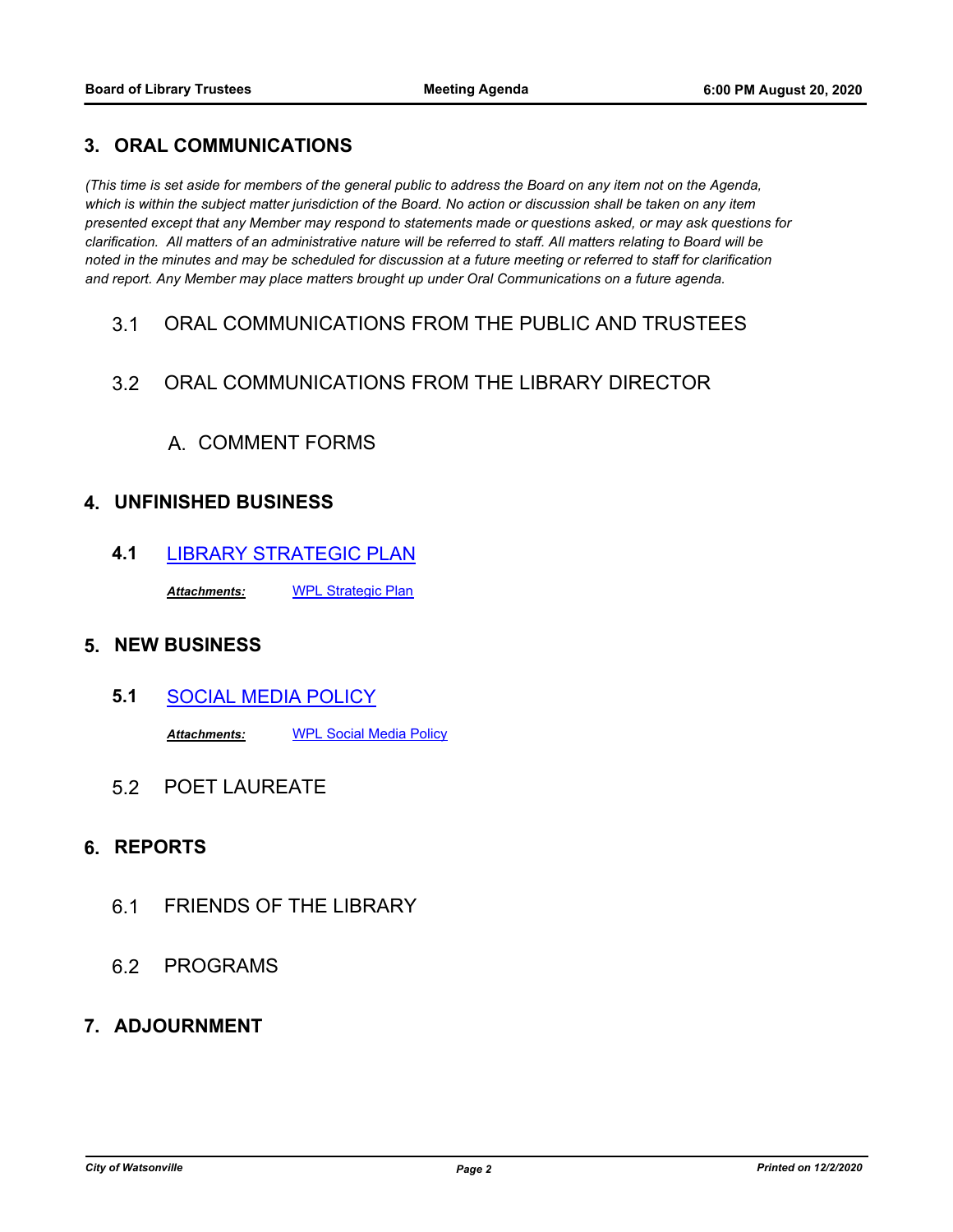#### **3. ORAL COMMUNICATIONS**

*(This time is set aside for members of the general public to address the Board on any item not on the Agenda,*  which is within the subject matter jurisdiction of the Board. No action or discussion shall be taken on any item *presented except that any Member may respond to statements made or questions asked, or may ask questions for clarification. All matters of an administrative nature will be referred to staff. All matters relating to Board will be noted in the minutes and may be scheduled for discussion at a future meeting or referred to staff for clarification and report. Any Member may place matters brought up under Oral Communications on a future agenda.*

3.1 ORAL COMMUNICATIONS FROM THE PUBLIC AND TRUSTEES

### 3.2 ORAL COMMUNICATIONS FROM THE LIBRARY DIRECTOR

# A. COMMENT FORMS

#### **4. UNFINISHED BUSINESS**

**4.1** [LIBRARY STRATEGIC PLAN](http://watsonville.legistar.com/gateway.aspx?m=l&id=/matter.aspx?key=3347)

*Attachments:* [WPL Strategic Plan](http://watsonville.legistar.com/gateway.aspx?M=F&ID=1f4ab426-7ebb-41c9-80d4-51cd7bcfcbad.pdf)

### **5. NEW BUSINESS**

- **5.1** [SOCIAL MEDIA POLICY](http://watsonville.legistar.com/gateway.aspx?m=l&id=/matter.aspx?key=3331) *Attachments:* [WPL Social Media Policy](http://watsonville.legistar.com/gateway.aspx?M=F&ID=9d7cabc0-3562-4da9-8272-d0cf0b4305ac.docx)
- 5.2 POET LAUREATE

### **6. REPORTS**

- 6.1 FRIENDS OF THE LIBRARY
- 6.2 PROGRAMS

#### **7. ADJOURNMENT**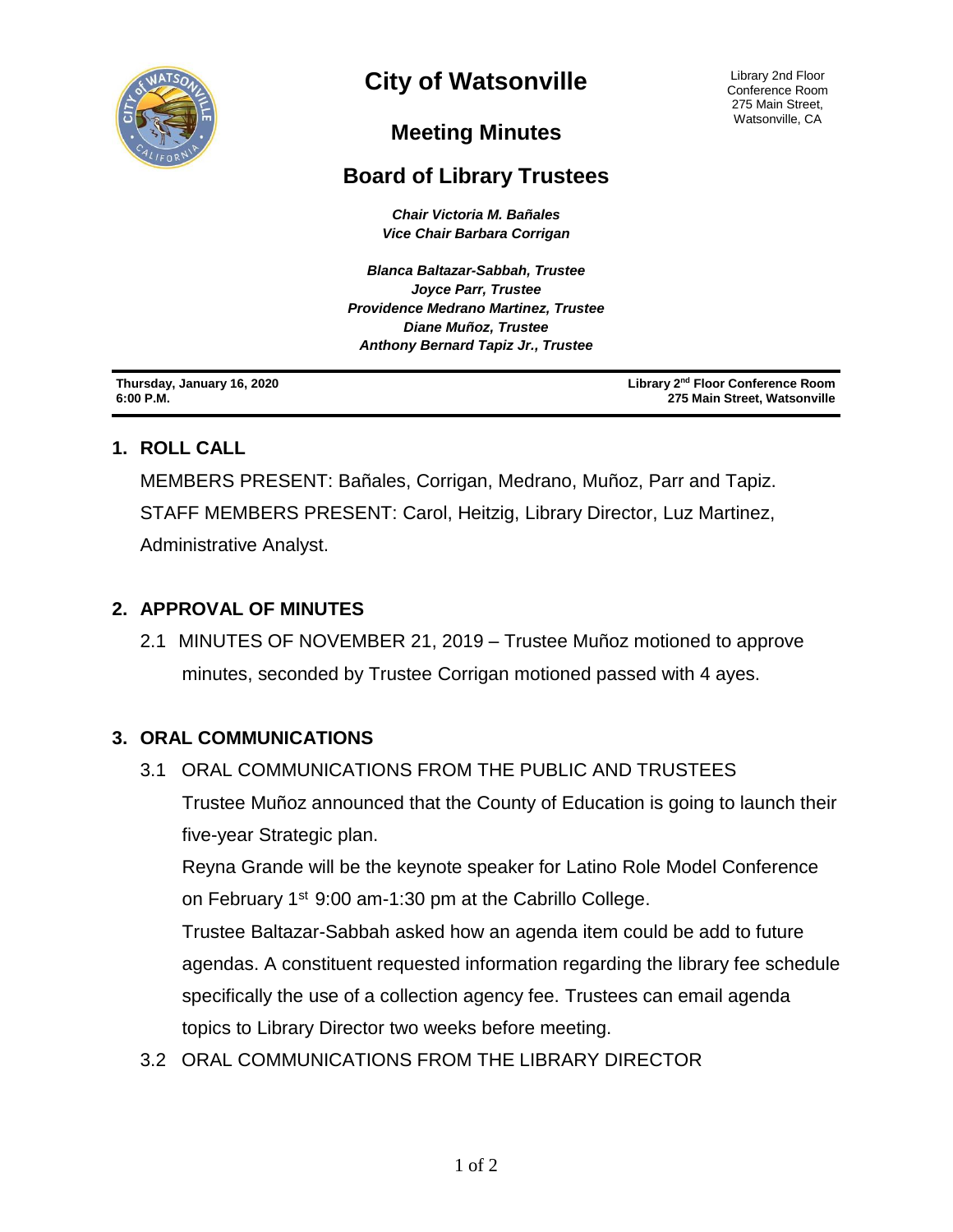

# **City of Watsonville**

Library 2nd Floor Conference Room 275 Main Street, Watsonville, CA

# **Meeting Minutes**

# **Board of Library Trustees**

*Chair Victoria M. Bañales Vice Chair Barbara Corrigan*

*Blanca Baltazar-Sabbah, Trustee Joyce Parr, Trustee Providence Medrano Martinez, Trustee Diane Muñoz, Trustee Anthony Bernard Tapiz Jr., Trustee*

**Thursday, January 16, 2020 6:00 P.M.**

**Library 2nd Floor Conference Room 275 Main Street, Watsonville**

# **1. ROLL CALL**

MEMBERS PRESENT: Bañales, Corrigan, Medrano, Muñoz, Parr and Tapiz. STAFF MEMBERS PRESENT: Carol, Heitzig, Library Director, Luz Martinez, Administrative Analyst.

# **2. APPROVAL OF MINUTES**

2.1 MINUTES OF NOVEMBER 21, 2019 – Trustee Muñoz motioned to approve minutes, seconded by Trustee Corrigan motioned passed with 4 ayes.

# **3. ORAL COMMUNICATIONS**

3.1ORAL COMMUNICATIONS FROM THE PUBLIC AND TRUSTEES Trustee Muñoz announced that the County of Education is going to launch their five-year Strategic plan.

Reyna Grande will be the keynote speaker for Latino Role Model Conference on February 1<sup>st</sup> 9:00 am-1:30 pm at the Cabrillo College.

Trustee Baltazar-Sabbah asked how an agenda item could be add to future agendas. A constituent requested information regarding the library fee schedule specifically the use of a collection agency fee. Trustees can email agenda topics to Library Director two weeks before meeting.

3.2ORAL COMMUNICATIONS FROM THE LIBRARY DIRECTOR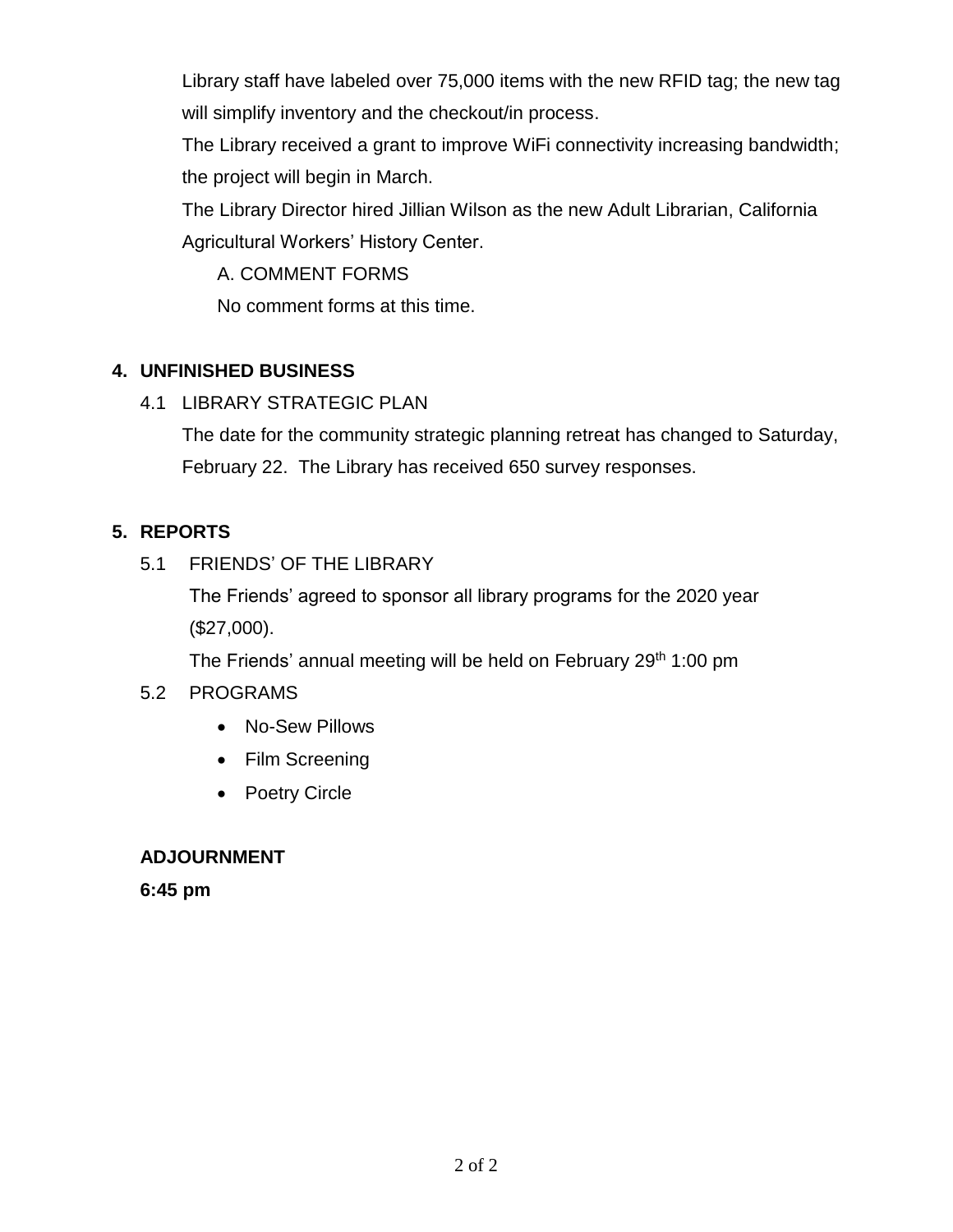Library staff have labeled over 75,000 items with the new RFID tag; the new tag will simplify inventory and the checkout/in process.

The Library received a grant to improve WiFi connectivity increasing bandwidth; the project will begin in March.

The Library Director hired Jillian Wilson as the new Adult Librarian, California Agricultural Workers' History Center.

A. COMMENT FORMS

No comment forms at this time.

# **4. UNFINISHED BUSINESS**

4.1 LIBRARY STRATEGIC PLAN

The date for the community strategic planning retreat has changed to Saturday, February 22. The Library has received 650 survey responses.

# **5. REPORTS**

# 5.1 FRIENDS' OF THE LIBRARY

The Friends' agreed to sponsor all library programs for the 2020 year (\$27,000).

The Friends' annual meeting will be held on February 29<sup>th</sup> 1:00 pm

# 5.2 PROGRAMS

- No-Sew Pillows
- Film Screening
- Poetry Circle

# **ADJOURNMENT**

**6:45 pm**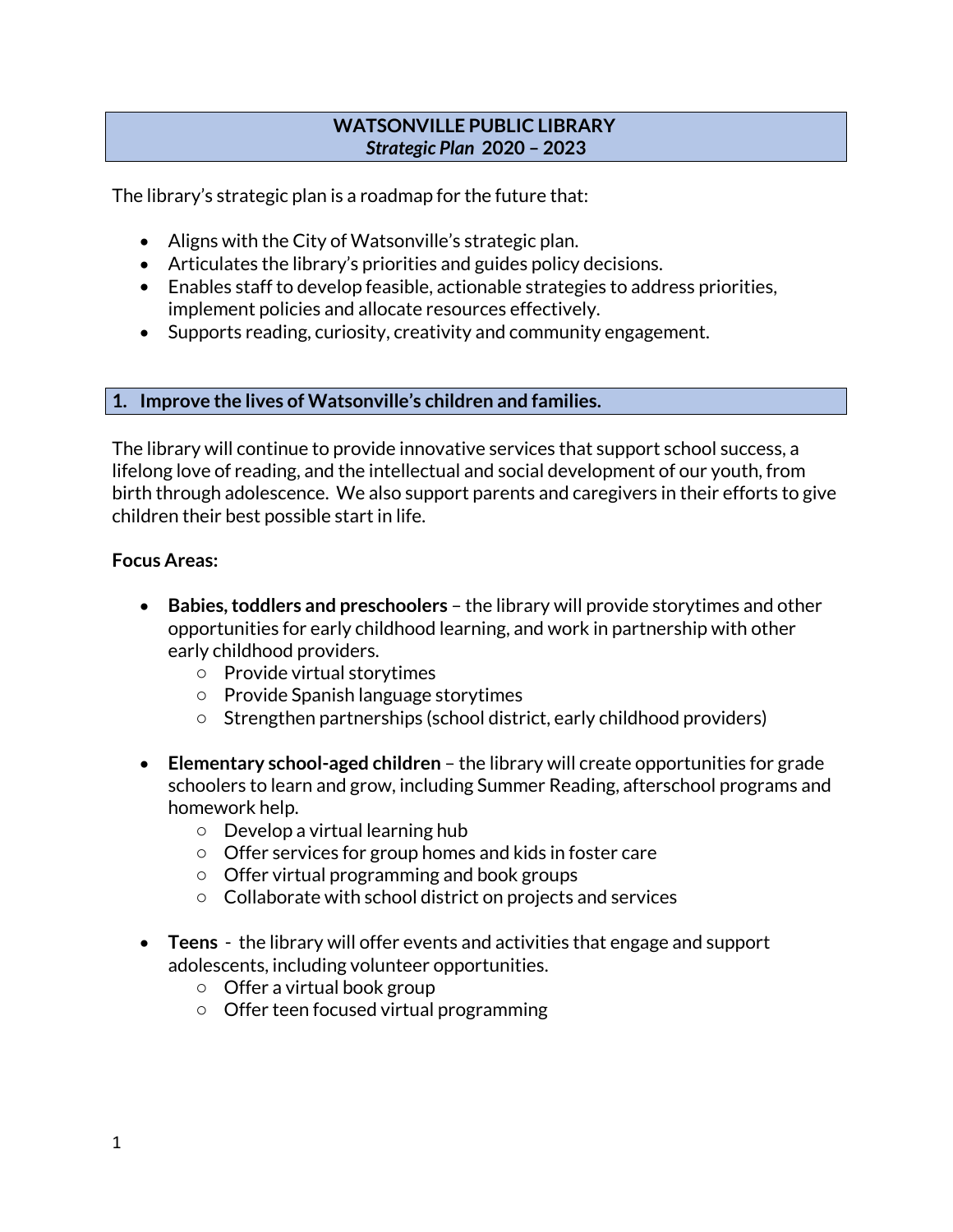### **WATSONVILLE PUBLIC LIBRARY** *Strategic Plan* **2020 – 2023**

The library's strategic plan is a roadmap for the future that:

- Aligns with the City of Watsonville's strategic plan.
- Articulates the library's priorities and guides policy decisions.
- Enables staff to develop feasible, actionable strategies to address priorities, implement policies and allocate resources effectively.
- Supports reading, curiosity, creativity and community engagement.

### **1. Improve the lives of Watsonville's children and families.**

The library will continue to provide innovative services that support school success, a lifelong love of reading, and the intellectual and social development of our youth, from birth through adolescence. We also support parents and caregivers in their efforts to give children their best possible start in life.

#### **Focus Areas:**

- **Babies, toddlers and preschoolers** the library will provide storytimes and other opportunities for early childhood learning, and work in partnership with other early childhood providers.
	- o Provide virtual storytimes
	- o Provide Spanish language storytimes
	- o Strengthen partnerships (school district, early childhood providers)
- **Elementary school-aged children** the library will create opportunities for grade schoolers to learn and grow, including Summer Reading, afterschool programs and homework help.
	- o Develop a virtual learning hub
	- o Offer services for group homes and kids in foster care
	- o Offer virtual programming and book groups
	- $\circ$  Collaborate with school district on projects and services
- **Teens** the library will offer events and activities that engage and support adolescents, including volunteer opportunities.
	- o Offer a virtual book group
	- o Offer teen focused virtual programming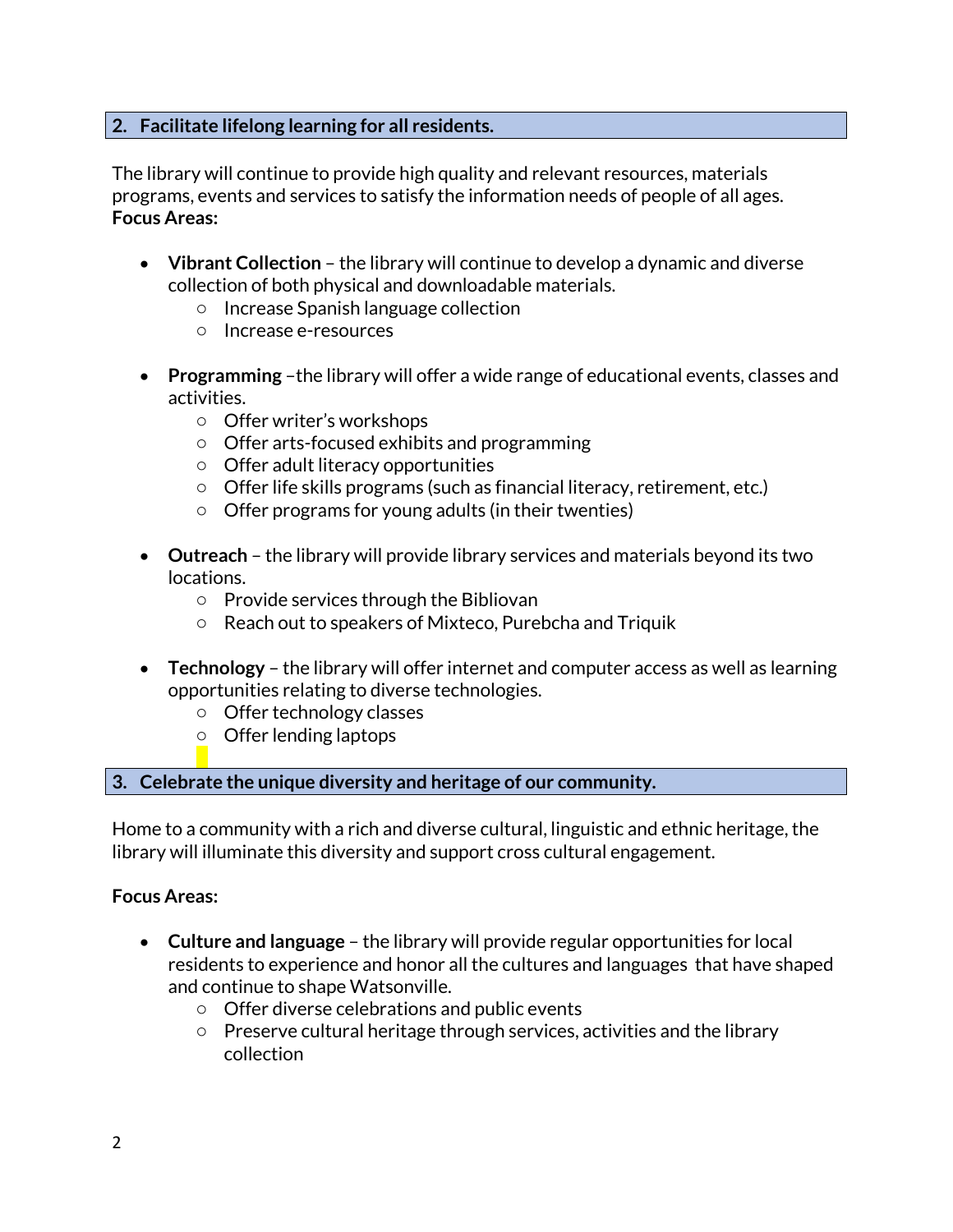# **2. Facilitate lifelong learning for all residents.**

The library will continue to provide high quality and relevant resources, materials programs, events and services to satisfy the information needs of people of all ages. **Focus Areas:**

- **Vibrant Collection** the library will continue to develop a dynamic and diverse collection of both physical and downloadable materials.
	- o Increase Spanish language collection
	- o Increase e-resources
- **Programming** –the library will offer a wide range of educational events, classes and activities.
	- o Offer writer's workshops
	- o Offer arts-focused exhibits and programming
	- o Offer adult literacy opportunities
	- o Offer life skills programs (such as financial literacy, retirement, etc.)
	- $\circ$  Offer programs for young adults (in their twenties)
- **Outreach** the library will provide library services and materials beyond its two locations.
	- o Provide services through the Bibliovan
	- o Reach out to speakers of Mixteco, Purebcha and Triquik
- **Technology** the library will offer internet and computer access as well as learning opportunities relating to diverse technologies.
	- o Offer technology classes
	- o Offer lending laptops

### **3. Celebrate the unique diversity and heritage of our community.**

Home to a community with a rich and diverse cultural, linguistic and ethnic heritage, the library will illuminate this diversity and support cross cultural engagement.

### **Focus Areas:**

- **Culture and language** the library will provide regular opportunities for local residents to experience and honor all the cultures and languages that have shaped and continue to shape Watsonville.
	- o Offer diverse celebrations and public events
	- o Preserve cultural heritage through services, activities and the library collection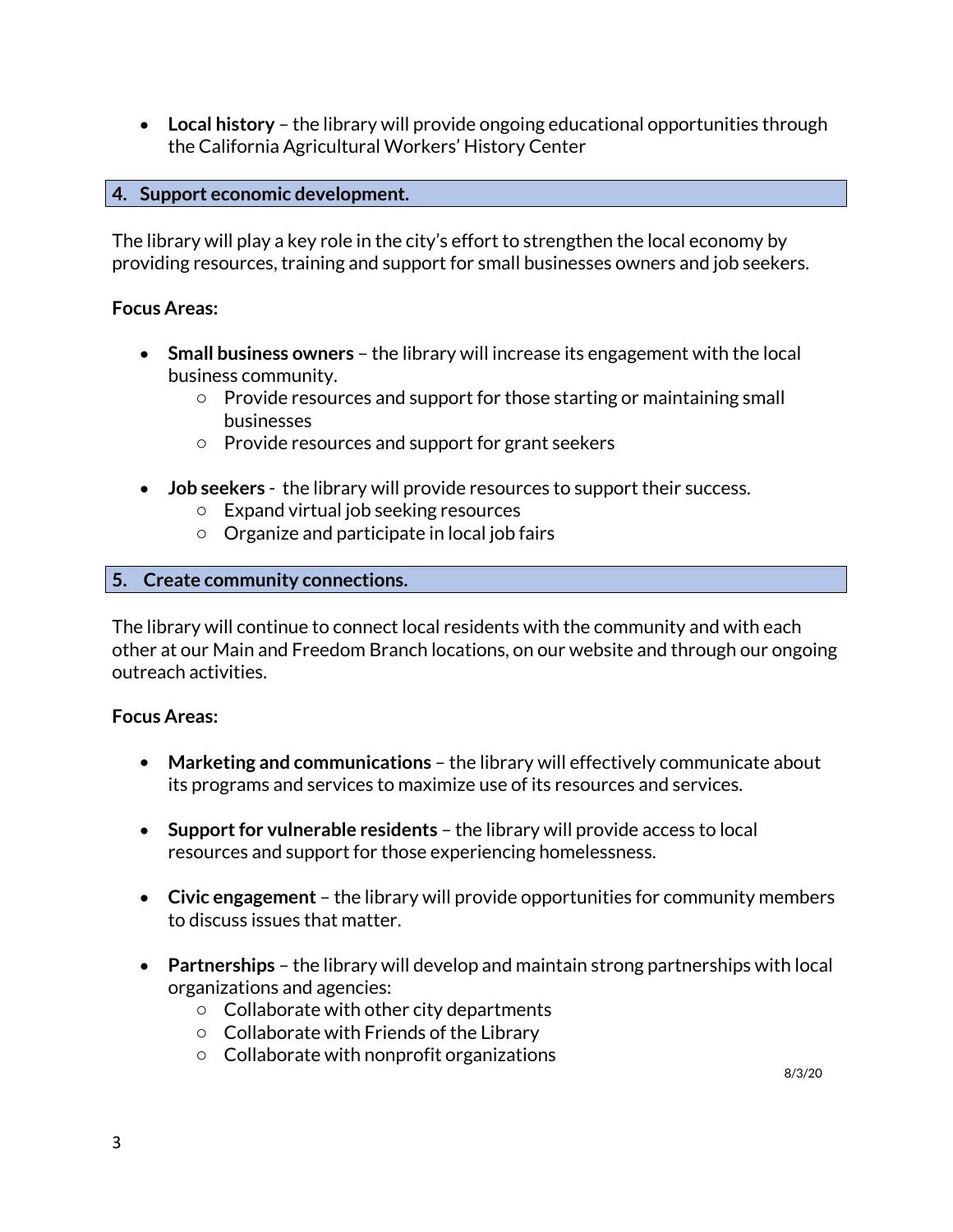**Local history** – the library will provide ongoing educational opportunities through the California Agricultural Workers' History Center

### **4. Support economic development.**

The library will play a key role in the city's effort to strengthen the local economy by providing resources, training and support for small businesses owners and job seekers.

### **Focus Areas:**

- **Small business owners** the library will increase its engagement with the local business community.
	- o Provide resources and support for those starting or maintaining small businesses
	- o Provide resources and support for grant seekers
- **Job seekers** the library will provide resources to support their success.
	- o Expand virtual job seeking resources
	- o Organize and participate in local job fairs

### **5. Create community connections.**

The library will continue to connect local residents with the community and with each other at our Main and Freedom Branch locations, on our website and through our ongoing outreach activities.

### **Focus Areas:**

- **Marketing and communications** the library will effectively communicate about its programs and services to maximize use of its resources and services.
- **Support for vulnerable residents** the library will provide access to local resources and support for those experiencing homelessness.
- **Civic engagement** the library will provide opportunities for community members to discuss issues that matter.
- **Partnerships** the library will develop and maintain strong partnerships with local organizations and agencies:
	- o Collaborate with other city departments
	- o Collaborate with Friends of the Library
	- o Collaborate with nonprofit organizations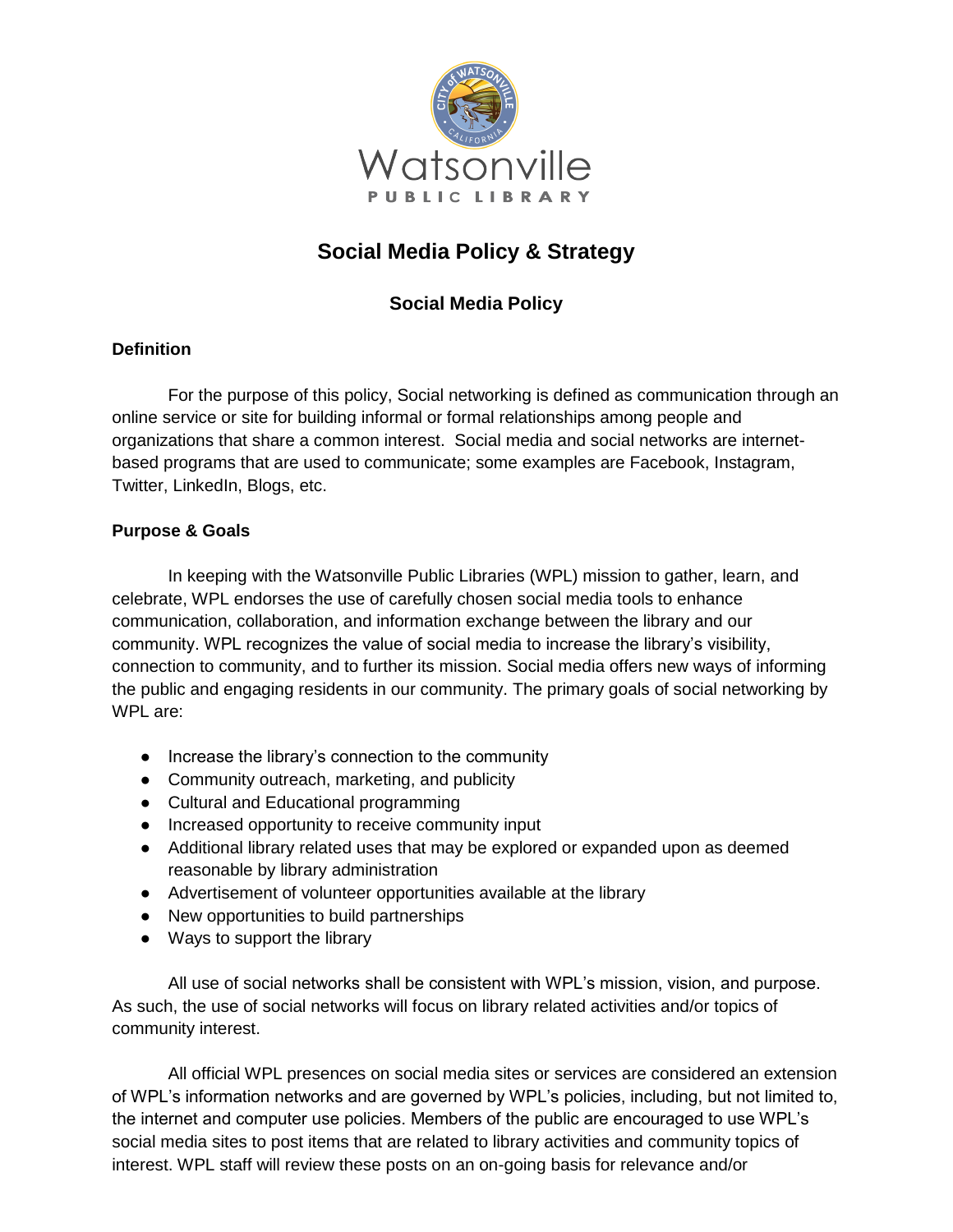

# **Social Media Policy & Strategy**

# **Social Media Policy**

### **Definition**

For the purpose of this policy, Social networking is defined as communication through an online service or site for building informal or formal relationships among people and organizations that share a common interest. Social media and social networks are internetbased programs that are used to communicate; some examples are Facebook, Instagram, Twitter, LinkedIn, Blogs, etc.

### **Purpose & Goals**

In keeping with the Watsonville Public Libraries (WPL) mission to gather, learn, and celebrate, WPL endorses the use of carefully chosen social media tools to enhance communication, collaboration, and information exchange between the library and our community. WPL recognizes the value of social media to increase the library's visibility, connection to community, and to further its mission. Social media offers new ways of informing the public and engaging residents in our community. The primary goals of social networking by WPL are:

- Increase the library's connection to the community
- Community outreach, marketing, and publicity
- Cultural and Educational programming
- Increased opportunity to receive community input
- Additional library related uses that may be explored or expanded upon as deemed reasonable by library administration
- Advertisement of volunteer opportunities available at the library
- New opportunities to build partnerships
- Ways to support the library

All use of social networks shall be consistent with WPL's mission, vision, and purpose. As such, the use of social networks will focus on library related activities and/or topics of community interest.

All official WPL presences on social media sites or services are considered an extension of WPL's information networks and are governed by WPL's policies, including, but not limited to, the internet and computer use policies. Members of the public are encouraged to use WPL's social media sites to post items that are related to library activities and community topics of interest. WPL staff will review these posts on an on-going basis for relevance and/or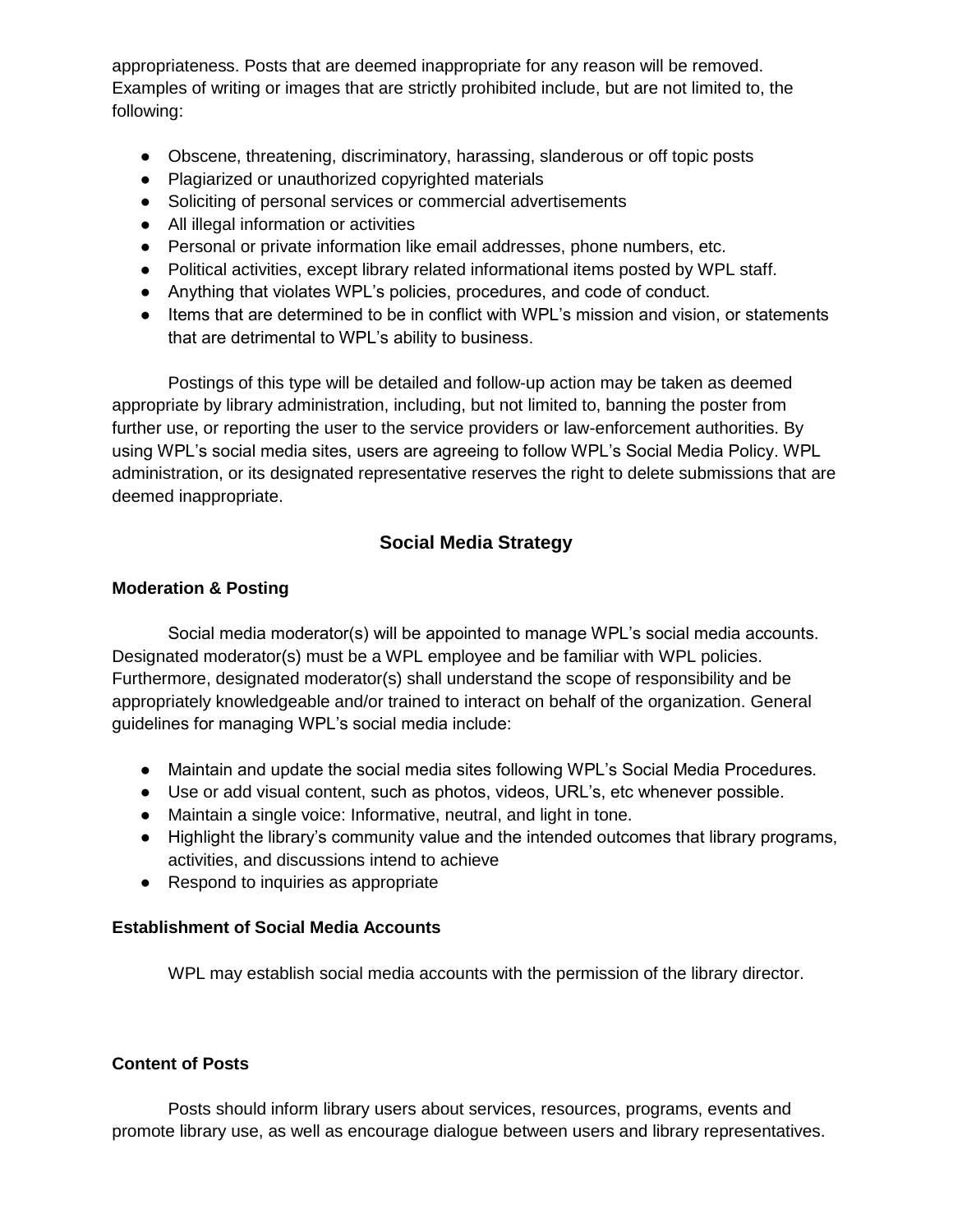appropriateness. Posts that are deemed inappropriate for any reason will be removed. Examples of writing or images that are strictly prohibited include, but are not limited to, the following:

- Obscene, threatening, discriminatory, harassing, slanderous or off topic posts
- Plagiarized or unauthorized copyrighted materials
- Soliciting of personal services or commercial advertisements
- All illegal information or activities
- Personal or private information like email addresses, phone numbers, etc.
- Political activities, except library related informational items posted by WPL staff.
- Anything that violates WPL's policies, procedures, and code of conduct.
- Items that are determined to be in conflict with WPL's mission and vision, or statements that are detrimental to WPL's ability to business.

Postings of this type will be detailed and follow-up action may be taken as deemed appropriate by library administration, including, but not limited to, banning the poster from further use, or reporting the user to the service providers or law-enforcement authorities. By using WPL's social media sites, users are agreeing to follow WPL's Social Media Policy. WPL administration, or its designated representative reserves the right to delete submissions that are deemed inappropriate.

# **Social Media Strategy**

#### **Moderation & Posting**

Social media moderator(s) will be appointed to manage WPL's social media accounts. Designated moderator(s) must be a WPL employee and be familiar with WPL policies. Furthermore, designated moderator(s) shall understand the scope of responsibility and be appropriately knowledgeable and/or trained to interact on behalf of the organization. General guidelines for managing WPL's social media include:

- Maintain and update the social media sites following WPL's Social Media Procedures.
- Use or add visual content, such as photos, videos, URL's, etc whenever possible.
- Maintain a single voice: Informative, neutral, and light in tone.
- Highlight the library's community value and the intended outcomes that library programs, activities, and discussions intend to achieve
- Respond to inquiries as appropriate

#### **Establishment of Social Media Accounts**

WPL may establish social media accounts with the permission of the library director.

#### **Content of Posts**

Posts should inform library users about services, resources, programs, events and promote library use, as well as encourage dialogue between users and library representatives.